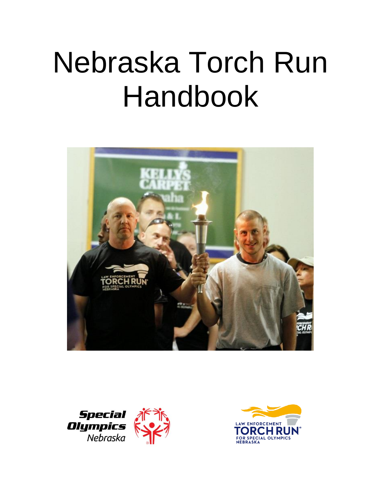# Nebraska Torch Run Handbook





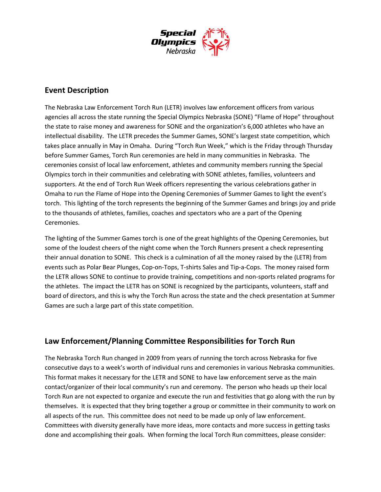

### **Event Description**

The Nebraska Law Enforcement Torch Run (LETR) involves law enforcement officers from various agencies all across the state running the Special Olympics Nebraska (SONE) "Flame of Hope" throughout the state to raise money and awareness for SONE and the organization's 6,000 athletes who have an intellectual disability. The LETR precedes the Summer Games, SONE's largest state competition, which takes place annually in May in Omaha. During "Torch Run Week," which is the Friday through Thursday before Summer Games, Torch Run ceremonies are held in many communities in Nebraska. The ceremonies consist of local law enforcement, athletes and community members running the Special Olympics torch in their communities and celebrating with SONE athletes, families, volunteers and supporters. At the end of Torch Run Week officers representing the various celebrations gather in Omaha to run the Flame of Hope into the Opening Ceremonies of Summer Games to light the event's torch. This lighting of the torch represents the beginning of the Summer Games and brings joy and pride to the thousands of athletes, families, coaches and spectators who are a part of the Opening Ceremonies.

The lighting of the Summer Games torch is one of the great highlights of the Opening Ceremonies, but some of the loudest cheers of the night come when the Torch Runners present a check representing their annual donation to SONE. This check is a culmination of all the money raised by the (LETR) from events such as Polar Bear Plunges, Cop-on-Tops, T-shirts Sales and Tip-a-Cops. The money raised form the LETR allows SONE to continue to provide training, competitions and non-sports related programs for the athletes. The impact the LETR has on SONE is recognized by the participants, volunteers, staff and board of directors, and this is why the Torch Run across the state and the check presentation at Summer Games are such a large part of this state competition.

## **Law Enforcement/Planning Committee Responsibilities for Torch Run**

The Nebraska Torch Run changed in 2009 from years of running the torch across Nebraska for five consecutive days to a week's worth of individual runs and ceremonies in various Nebraska communities. This format makes it necessary for the LETR and SONE to have law enforcement serve as the main contact/organizer of their local community's run and ceremony. The person who heads up their local Torch Run are not expected to organize and execute the run and festivities that go along with the run by themselves. It is expected that they bring together a group or committee in their community to work on all aspects of the run. This committee does not need to be made up only of law enforcement. Committees with diversity generally have more ideas, more contacts and more success in getting tasks done and accomplishing their goals. When forming the local Torch Run committees, please consider: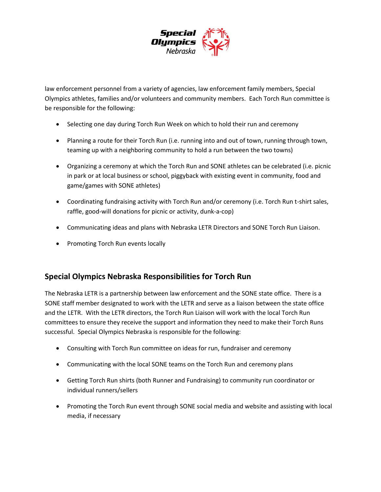

law enforcement personnel from a variety of agencies, law enforcement family members, Special Olympics athletes, families and/or volunteers and community members. Each Torch Run committee is be responsible for the following:

- Selecting one day during Torch Run Week on which to hold their run and ceremony
- Planning a route for their Torch Run (i.e. running into and out of town, running through town, teaming up with a neighboring community to hold a run between the two towns)
- Organizing a ceremony at which the Torch Run and SONE athletes can be celebrated (i.e. picnic in park or at local business or school, piggyback with existing event in community, food and game/games with SONE athletes)
- Coordinating fundraising activity with Torch Run and/or ceremony (i.e. Torch Run t-shirt sales, raffle, good-will donations for picnic or activity, dunk-a-cop)
- Communicating ideas and plans with Nebraska LETR Directors and SONE Torch Run Liaison.
- Promoting Torch Run events locally

## **Special Olympics Nebraska Responsibilities for Torch Run**

The Nebraska LETR is a partnership between law enforcement and the SONE state office. There is a SONE staff member designated to work with the LETR and serve as a liaison between the state office and the LETR. With the LETR directors, the Torch Run Liaison will work with the local Torch Run committees to ensure they receive the support and information they need to make their Torch Runs successful. Special Olympics Nebraska is responsible for the following:

- Consulting with Torch Run committee on ideas for run, fundraiser and ceremony
- Communicating with the local SONE teams on the Torch Run and ceremony plans
- Getting Torch Run shirts (both Runner and Fundraising) to community run coordinator or individual runners/sellers
- Promoting the Torch Run event through SONE social media and website and assisting with local media, if necessary